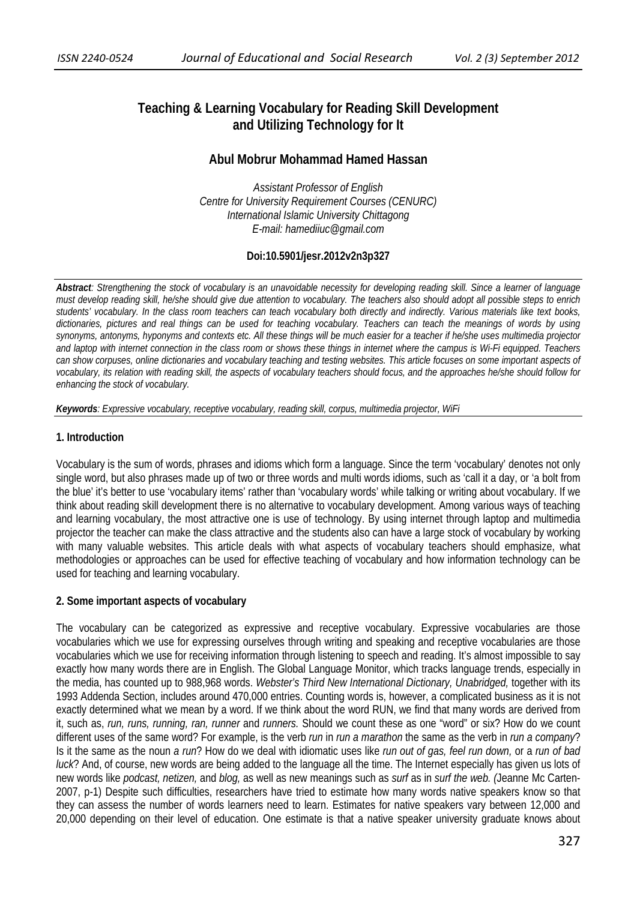# **Teaching & Learning Vocabulary for Reading Skill Development and Utilizing Technology for It**

# **Abul Mobrur Mohammad Hamed Hassan**

*Assistant Professor of English Centre for University Requirement Courses (CENURC) International Islamic University Chittagong E-mail: hamediiuc@gmail.com* 

# **Doi:10.5901/jesr.2012v2n3p327**

*Abstract: Strengthening the stock of vocabulary is an unavoidable necessity for developing reading skill. Since a learner of language must develop reading skill, he/she should give due attention to vocabulary. The teachers also should adopt all possible steps to enrich students' vocabulary. In the class room teachers can teach vocabulary both directly and indirectly. Various materials like text books, dictionaries, pictures and real things can be used for teaching vocabulary. Teachers can teach the meanings of words by using synonyms, antonyms, hyponyms and contexts etc. All these things will be much easier for a teacher if he/she uses multimedia projector and laptop with internet connection in the class room or shows these things in internet where the campus is Wi-Fi equipped. Teachers can show corpuses, online dictionaries and vocabulary teaching and testing websites. This article focuses on some important aspects of vocabulary, its relation with reading skill, the aspects of vocabulary teachers should focus, and the approaches he/she should follow for enhancing the stock of vocabulary.* 

*Keywords: Expressive vocabulary, receptive vocabulary, reading skill, corpus, multimedia projector, WiFi* 

# **1. Introduction**

Vocabulary is the sum of words, phrases and idioms which form a language. Since the term 'vocabulary' denotes not only single word, but also phrases made up of two or three words and multi words idioms, such as 'call it a day, or 'a bolt from the blue' it's better to use 'vocabulary items' rather than 'vocabulary words' while talking or writing about vocabulary. If we think about reading skill development there is no alternative to vocabulary development. Among various ways of teaching and learning vocabulary, the most attractive one is use of technology. By using internet through laptop and multimedia projector the teacher can make the class attractive and the students also can have a large stock of vocabulary by working with many valuable websites. This article deals with what aspects of vocabulary teachers should emphasize, what methodologies or approaches can be used for effective teaching of vocabulary and how information technology can be used for teaching and learning vocabulary.

# **2. Some important aspects of vocabulary**

The vocabulary can be categorized as expressive and receptive vocabulary. Expressive vocabularies are those vocabularies which we use for expressing ourselves through writing and speaking and receptive vocabularies are those vocabularies which we use for receiving information through listening to speech and reading. It's almost impossible to say exactly how many words there are in English. The Global Language Monitor, which tracks language trends, especially in the media, has counted up to 988,968 words. *Webster's Third New International Dictionary, Unabridged,* together with its 1993 Addenda Section, includes around 470,000 entries. Counting words is, however, a complicated business as it is not exactly determined what we mean by a word. If we think about the word RUN, we find that many words are derived from it, such as, *run, runs, running, ran, runner* and *runners.* Should we count these as one "word" or six? How do we count different uses of the same word? For example, is the verb *run* in *run a marathon* the same as the verb in *run a company*? Is it the same as the noun *a run*? How do we deal with idiomatic uses like *run out of gas, feel run down,* or a *run of bad luck*? And, of course, new words are being added to the language all the time. The Internet especially has given us lots of new words like *podcast, netizen,* and *blog,* as well as new meanings such as *surf* as in *surf the web. (*Jeanne Mc Carten-2007, p-1) Despite such difficulties, researchers have tried to estimate how many words native speakers know so that they can assess the number of words learners need to learn. Estimates for native speakers vary between 12,000 and 20,000 depending on their level of education. One estimate is that a native speaker university graduate knows about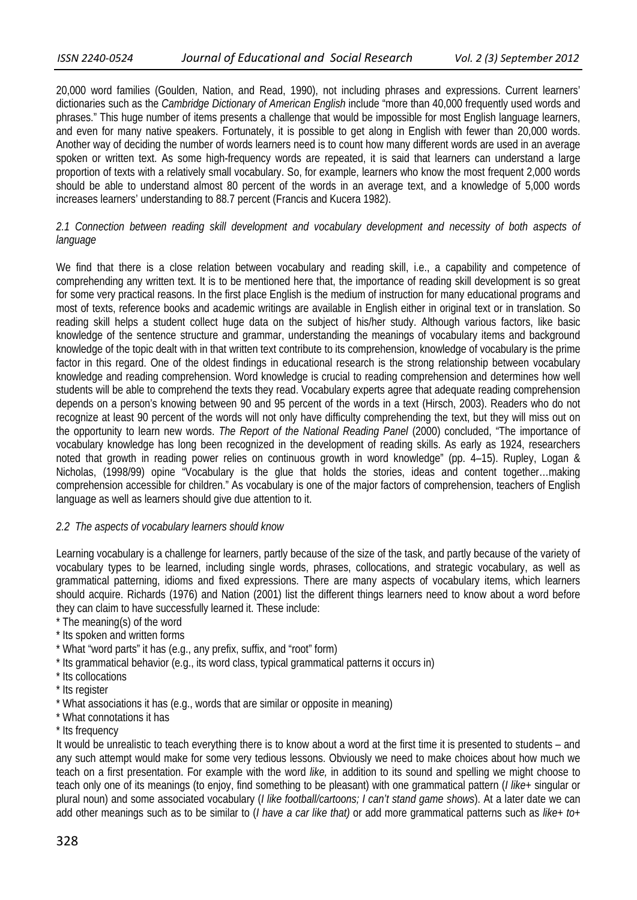20,000 word families (Goulden, Nation, and Read, 1990), not including phrases and expressions. Current learners' dictionaries such as the *Cambridge Dictionary of American English* include "more than 40,000 frequently used words and phrases." This huge number of items presents a challenge that would be impossible for most English language learners, and even for many native speakers. Fortunately, it is possible to get along in English with fewer than 20,000 words. Another way of deciding the number of words learners need is to count how many different words are used in an average spoken or written text. As some high-frequency words are repeated, it is said that learners can understand a large proportion of texts with a relatively small vocabulary. So, for example, learners who know the most frequent 2,000 words should be able to understand almost 80 percent of the words in an average text, and a knowledge of 5,000 words increases learners' understanding to 88.7 percent (Francis and Kucera 1982).

# *2.1 Connection between reading skill development and vocabulary development and necessity of both aspects of language*

We find that there is a close relation between vocabulary and reading skill, i.e., a capability and competence of comprehending any written text. It is to be mentioned here that, the importance of reading skill development is so great for some very practical reasons. In the first place English is the medium of instruction for many educational programs and most of texts, reference books and academic writings are available in English either in original text or in translation. So reading skill helps a student collect huge data on the subject of his/her study. Although various factors, like basic knowledge of the sentence structure and grammar, understanding the meanings of vocabulary items and background knowledge of the topic dealt with in that written text contribute to its comprehension, knowledge of vocabulary is the prime factor in this regard. One of the oldest findings in educational research is the strong relationship between vocabulary knowledge and reading comprehension. Word knowledge is crucial to reading comprehension and determines how well students will be able to comprehend the texts they read. Vocabulary experts agree that adequate reading comprehension depends on a person's knowing between 90 and 95 percent of the words in a text (Hirsch, 2003). Readers who do not recognize at least 90 percent of the words will not only have difficulty comprehending the text, but they will miss out on the opportunity to learn new words. *The Report of the National Reading Panel* (2000) concluded, "The importance of vocabulary knowledge has long been recognized in the development of reading skills. As early as 1924, researchers noted that growth in reading power relies on continuous growth in word knowledge" (pp. 4–15). Rupley, Logan & Nicholas, (1998/99) opine "Vocabulary is the glue that holds the stories, ideas and content together…making comprehension accessible for children." As vocabulary is one of the major factors of comprehension, teachers of English language as well as learners should give due attention to it.

# *2.2 The aspects of vocabulary learners should know*

Learning vocabulary is a challenge for learners, partly because of the size of the task, and partly because of the variety of vocabulary types to be learned, including single words, phrases, collocations, and strategic vocabulary, as well as grammatical patterning, idioms and fixed expressions. There are many aspects of vocabulary items, which learners should acquire. Richards (1976) and Nation (2001) list the different things learners need to know about a word before they can claim to have successfully learned it. These include:

- \* The meaning(s) of the word
- \* Its spoken and written forms
- \* What "word parts" it has (e.g., any prefix, suffix, and "root" form)
- \* Its grammatical behavior (e.g., its word class, typical grammatical patterns it occurs in)
- \* Its collocations
- \* Its register
- \* What associations it has (e.g., words that are similar or opposite in meaning)
- \* What connotations it has
- \* Its frequency

It would be unrealistic to teach everything there is to know about a word at the first time it is presented to students – and any such attempt would make for some very tedious lessons. Obviously we need to make choices about how much we teach on a first presentation. For example with the word *like,* in addition to its sound and spelling we might choose to teach only one of its meanings (to enjoy, find something to be pleasant) with one grammatical pattern (*I like*+ singular or plural noun) and some associated vocabulary (*I like football/cartoons; I can't stand game shows*). At a later date we can add other meanings such as to be similar to (*I have a car like that)* or add more grammatical patterns such as *like*+ *to*+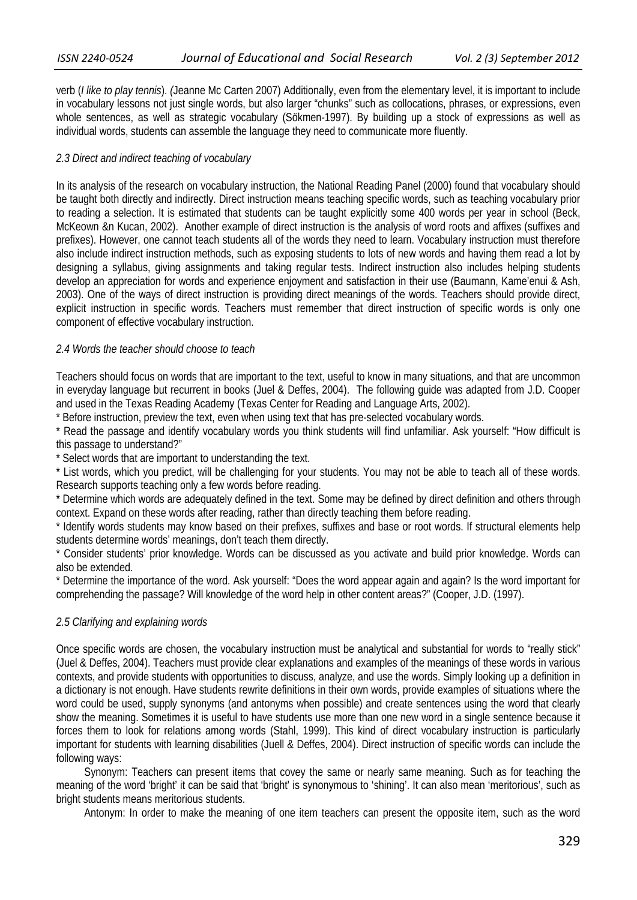verb (*I like to play tennis*). *(*Jeanne Mc Carten 2007) Additionally, even from the elementary level, it is important to include in vocabulary lessons not just single words, but also larger "chunks" such as collocations, phrases, or expressions, even whole sentences, as well as strategic vocabulary (Sökmen-1997). By building up a stock of expressions as well as individual words, students can assemble the language they need to communicate more fluently.

# *2.3 Direct and indirect teaching of vocabulary*

In its analysis of the research on vocabulary instruction, the National Reading Panel (2000) found that vocabulary should be taught both directly and indirectly. Direct instruction means teaching specific words, such as teaching vocabulary prior to reading a selection. It is estimated that students can be taught explicitly some 400 words per year in school (Beck, McKeown &n Kucan, 2002). Another example of direct instruction is the analysis of word roots and affixes (suffixes and prefixes). However, one cannot teach students all of the words they need to learn. Vocabulary instruction must therefore also include indirect instruction methods, such as exposing students to lots of new words and having them read a lot by designing a syllabus, giving assignments and taking regular tests. Indirect instruction also includes helping students develop an appreciation for words and experience enjoyment and satisfaction in their use (Baumann, Kame'enui & Ash, 2003). One of the ways of direct instruction is providing direct meanings of the words. Teachers should provide direct, explicit instruction in specific words. Teachers must remember that direct instruction of specific words is only one component of effective vocabulary instruction.

# *2.4 Words the teacher should choose to teach*

Teachers should focus on words that are important to the text, useful to know in many situations, and that are uncommon in everyday language but recurrent in books (Juel & Deffes, 2004). The following guide was adapted from J.D. Cooper and used in the Texas Reading Academy (Texas Center for Reading and Language Arts, 2002).

\* Before instruction, preview the text, even when using text that has pre-selected vocabulary words.

\* Read the passage and identify vocabulary words you think students will find unfamiliar. Ask yourself: "How difficult is this passage to understand?"

\* Select words that are important to understanding the text.

\* List words, which you predict, will be challenging for your students. You may not be able to teach all of these words. Research supports teaching only a few words before reading.

\* Determine which words are adequately defined in the text. Some may be defined by direct definition and others through context. Expand on these words after reading, rather than directly teaching them before reading.

\* Identify words students may know based on their prefixes, suffixes and base or root words. If structural elements help students determine words' meanings, don't teach them directly.

\* Consider students' prior knowledge. Words can be discussed as you activate and build prior knowledge. Words can also be extended.

\* Determine the importance of the word. Ask yourself: "Does the word appear again and again? Is the word important for comprehending the passage? Will knowledge of the word help in other content areas?" (Cooper, J.D. (1997).

#### *2.5 Clarifying and explaining words*

Once specific words are chosen, the vocabulary instruction must be analytical and substantial for words to "really stick" (Juel & Deffes, 2004). Teachers must provide clear explanations and examples of the meanings of these words in various contexts, and provide students with opportunities to discuss, analyze, and use the words. Simply looking up a definition in a dictionary is not enough. Have students rewrite definitions in their own words, provide examples of situations where the word could be used, supply synonyms (and antonyms when possible) and create sentences using the word that clearly show the meaning. Sometimes it is useful to have students use more than one new word in a single sentence because it forces them to look for relations among words (Stahl, 1999). This kind of direct vocabulary instruction is particularly important for students with learning disabilities (Juell & Deffes, 2004). Direct instruction of specific words can include the following ways:

Synonym: Teachers can present items that covey the same or nearly same meaning. Such as for teaching the meaning of the word 'bright' it can be said that 'bright' is synonymous to 'shining'. It can also mean 'meritorious', such as bright students means meritorious students.

Antonym: In order to make the meaning of one item teachers can present the opposite item, such as the word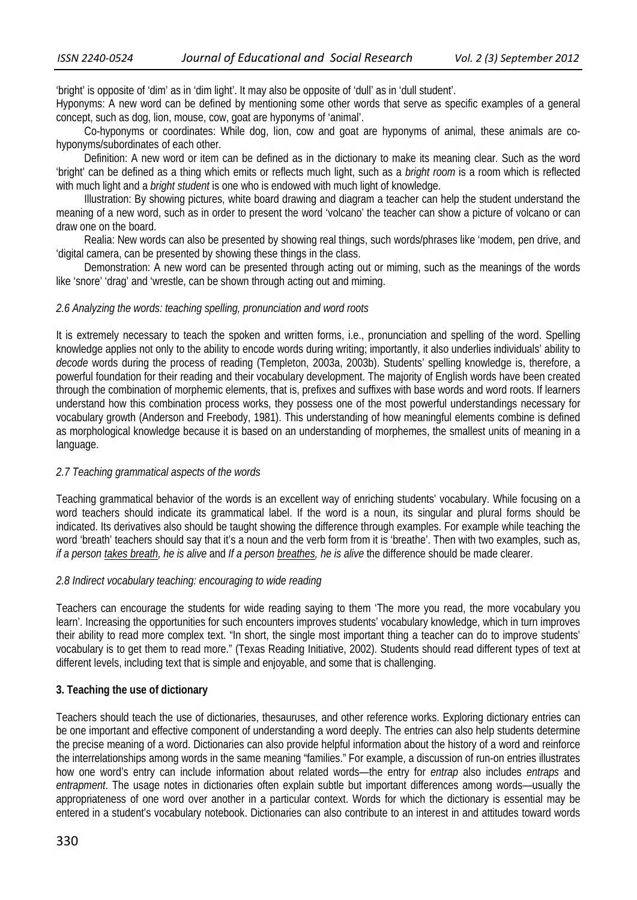'bright' is opposite of 'dim' as in 'dim light'. It may also be opposite of 'dull' as in 'dull student'.

Hyponyms: A new word can be defined by mentioning some other words that serve as specific examples of a general concept, such as dog, lion, mouse, cow, goat are hyponyms of 'animal'.

Co-hyponyms or coordinates: While dog, lion, cow and goat are hyponyms of animal, these animals are cohyponyms/subordinates of each other.

Definition: A new word or item can be defined as in the dictionary to make its meaning clear. Such as the word 'bright' can be defined as a thing which emits or reflects much light, such as a *bright room* is a room which is reflected with much light and a *bright student* is one who is endowed with much light of knowledge.

Illustration: By showing pictures, white board drawing and diagram a teacher can help the student understand the meaning of a new word, such as in order to present the word 'volcano' the teacher can show a picture of volcano or can draw one on the board.

Realia: New words can also be presented by showing real things, such words/phrases like 'modem, pen drive, and 'digital camera, can be presented by showing these things in the class.

Demonstration: A new word can be presented through acting out or miming, such as the meanings of the words like 'snore' 'drag' and 'wrestle, can be shown through acting out and miming.

# *2.6 Analyzing the words: teaching spelling, pronunciation and word roots*

It is extremely necessary to teach the spoken and written forms, i.e., pronunciation and spelling of the word. Spelling knowledge applies not only to the ability to encode words during writing; importantly, it also underlies individuals' ability to *decode* words during the process of reading (Templeton, 2003a, 2003b). Students' spelling knowledge is, therefore, a powerful foundation for their reading and their vocabulary development. The majority of English words have been created through the combination of morphemic elements, that is, prefixes and suffixes with base words and word roots. If learners understand how this combination process works, they possess one of the most powerful understandings necessary for vocabulary growth (Anderson and Freebody, 1981). This understanding of how meaningful elements combine is defined as morphological knowledge because it is based on an understanding of morphemes, the smallest units of meaning in a language.

# *2.7 Teaching grammatical aspects of the words*

Teaching grammatical behavior of the words is an excellent way of enriching students' vocabulary. While focusing on a word teachers should indicate its grammatical label. If the word is a noun, its singular and plural forms should be indicated. Its derivatives also should be taught showing the difference through examples. For example while teaching the word 'breath' teachers should say that it's a noun and the verb form from it is 'breathe'. Then with two examples, such as, *if a person takes breath, he is alive* and *If a person breathes, he is alive* the difference should be made clearer.

# *2.8 Indirect vocabulary teaching: encouraging to wide reading*

Teachers can encourage the students for wide reading saying to them 'The more you read, the more vocabulary you learn'. Increasing the opportunities for such encounters improves students' vocabulary knowledge, which in turn improves their ability to read more complex text. "In short, the single most important thing a teacher can do to improve students' vocabulary is to get them to read more." (Texas Reading Initiative, 2002). Students should read different types of text at different levels, including text that is simple and enjoyable, and some that is challenging.

# **3. Teaching the use of dictionary**

Teachers should teach the use of dictionaries, thesauruses, and other reference works. Exploring dictionary entries can be one important and effective component of understanding a word deeply. The entries can also help students determine the precise meaning of a word. Dictionaries can also provide helpful information about the history of a word and reinforce the interrelationships among words in the same meaning "families." For example, a discussion of run-on entries illustrates how one word's entry can include information about related words—the entry for *entrap* also includes *entraps* and *entrapment*. The usage notes in dictionaries often explain subtle but important differences among words—usually the appropriateness of one word over another in a particular context. Words for which the dictionary is essential may be entered in a student's vocabulary notebook. Dictionaries can also contribute to an interest in and attitudes toward words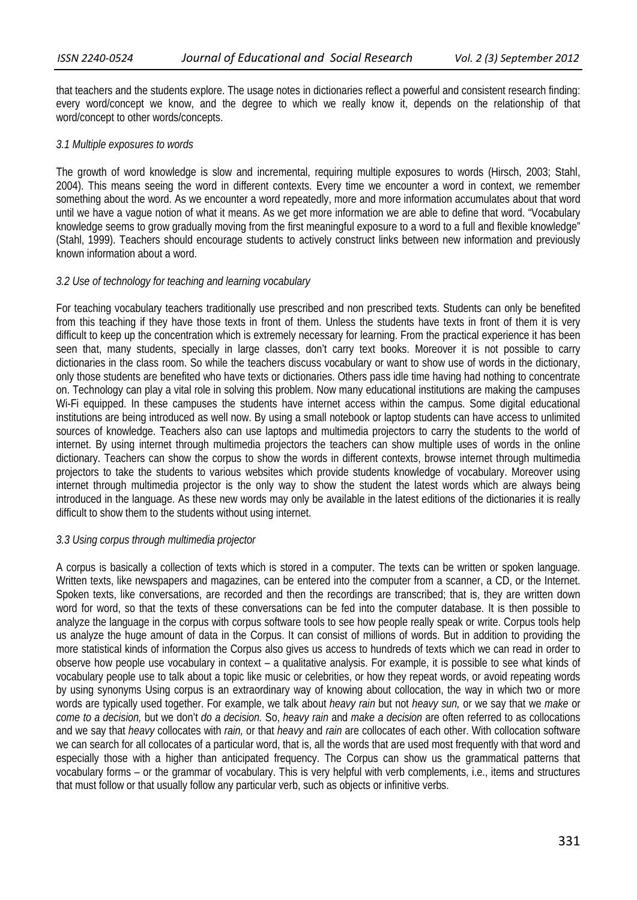that teachers and the students explore. The usage notes in dictionaries reflect a powerful and consistent research finding: every word/concept we know, and the degree to which we really know it, depends on the relationship of that word/concept to other words/concepts.

### *3.1 Multiple exposures to words*

The growth of word knowledge is slow and incremental, requiring multiple exposures to words (Hirsch, 2003; Stahl, 2004). This means seeing the word in different contexts. Every time we encounter a word in context, we remember something about the word. As we encounter a word repeatedly, more and more information accumulates about that word until we have a vague notion of what it means. As we get more information we are able to define that word. "Vocabulary knowledge seems to grow gradually moving from the first meaningful exposure to a word to a full and flexible knowledge" (Stahl, 1999). Teachers should encourage students to actively construct links between new information and previously known information about a word.

#### *3.2 Use of technology for teaching and learning vocabulary*

For teaching vocabulary teachers traditionally use prescribed and non prescribed texts. Students can only be benefited from this teaching if they have those texts in front of them. Unless the students have texts in front of them it is very difficult to keep up the concentration which is extremely necessary for learning. From the practical experience it has been seen that, many students, specially in large classes, don't carry text books. Moreover it is not possible to carry dictionaries in the class room. So while the teachers discuss vocabulary or want to show use of words in the dictionary, only those students are benefited who have texts or dictionaries. Others pass idle time having had nothing to concentrate on. Technology can play a vital role in solving this problem. Now many educational institutions are making the campuses Wi-Fi equipped. In these campuses the students have internet access within the campus. Some digital educational institutions are being introduced as well now. By using a small notebook or laptop students can have access to unlimited sources of knowledge. Teachers also can use laptops and multimedia projectors to carry the students to the world of internet. By using internet through multimedia projectors the teachers can show multiple uses of words in the online dictionary. Teachers can show the corpus to show the words in different contexts, browse internet through multimedia projectors to take the students to various websites which provide students knowledge of vocabulary. Moreover using internet through multimedia projector is the only way to show the student the latest words which are always being introduced in the language. As these new words may only be available in the latest editions of the dictionaries it is really difficult to show them to the students without using internet.

# *3.3 Using corpus through multimedia projector*

A corpus is basically a collection of texts which is stored in a computer. The texts can be written or spoken language. Written texts, like newspapers and magazines, can be entered into the computer from a scanner, a CD, or the Internet. Spoken texts, like conversations, are recorded and then the recordings are transcribed; that is, they are written down word for word, so that the texts of these conversations can be fed into the computer database. It is then possible to analyze the language in the corpus with corpus software tools to see how people really speak or write. Corpus tools help us analyze the huge amount of data in the Corpus. It can consist of millions of words. But in addition to providing the more statistical kinds of information the Corpus also gives us access to hundreds of texts which we can read in order to observe how people use vocabulary in context – a qualitative analysis. For example, it is possible to see what kinds of vocabulary people use to talk about a topic like music or celebrities, or how they repeat words, or avoid repeating words by using synonyms Using corpus is an extraordinary way of knowing about collocation, the way in which two or more words are typically used together. For example, we talk about *heavy rain* but not *heavy sun,* or we say that we *make* or *come to a decision,* but we don't *do a decision.* So, *heavy rain* and *make a decision* are often referred to as collocations and we say that *heavy* collocates with *rain,* or that *heavy* and *rain* are collocates of each other. With collocation software we can search for all collocates of a particular word, that is, all the words that are used most frequently with that word and especially those with a higher than anticipated frequency. The Corpus can show us the grammatical patterns that vocabulary forms – or the grammar of vocabulary. This is very helpful with verb complements, i.e., items and structures that must follow or that usually follow any particular verb, such as objects or infinitive verbs.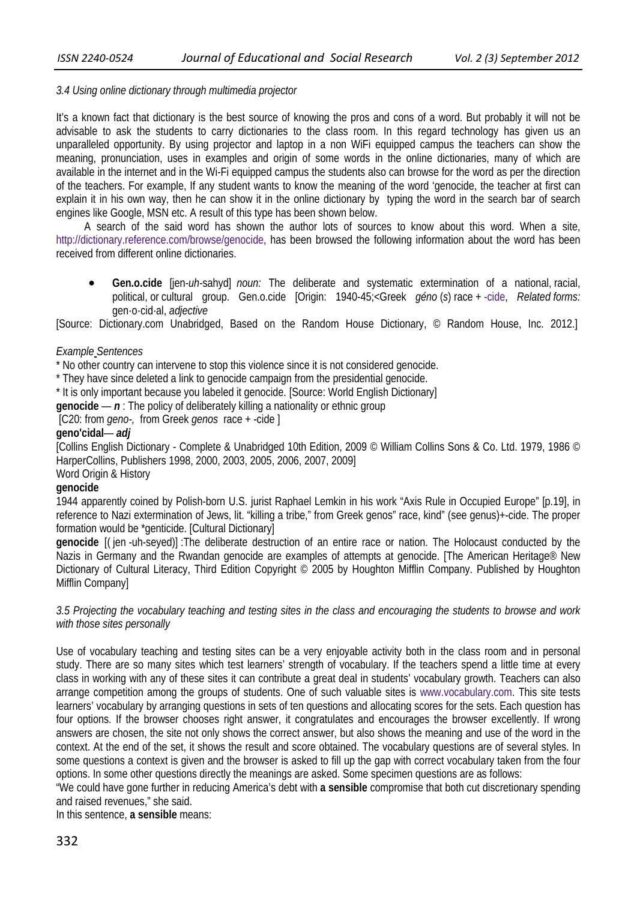# *3.4 Using online dictionary through multimedia projector*

It's a known fact that dictionary is the best source of knowing the pros and cons of a word. But probably it will not be advisable to ask the students to carry dictionaries to the class room. In this regard technology has given us an unparalleled opportunity. By using projector and laptop in a non WiFi equipped campus the teachers can show the meaning, pronunciation, uses in examples and origin of some words in the online dictionaries, many of which are available in the internet and in the Wi-Fi equipped campus the students also can browse for the word as per the direction of the teachers. For example, If any student wants to know the meaning of the word 'genocide, the teacher at first can explain it in his own way, then he can show it in the online dictionary by typing the word in the search bar of search engines like Google, MSN etc. A result of this type has been shown below.

A search of the said word has shown the author lots of sources to know about this word. When a site, http://dictionary.reference.com/browse/genocide, has been browsed the following information about the word has been received from different online dictionaries.

 **Gen.o.cide** [jen-*uh*-sahyd] *noun:* The deliberate and systematic extermination of a national, racial, political, or cultural group. Gen.o.cide [Origin: 1940-45;<Greek *géno* (*s*) race + -cide, *Related forms:*  gen·o·cid·al, *adjective* 

[Source: Dictionary.com Unabridged, Based on the Random House Dictionary, © Random House, Inc. 2012.]

# *Example Sentences*

\* No other country can intervene to stop this violence since it is not considered genocide.

\* They have since deleted a link to genocide campaign from the presidential genocide.

\* It is only important because you labeled it genocide. [Source: World English Dictionary]

**genocide —** *n*: The policy of deliberately killing a nationality or ethnic group

[C20: from *geno-,* from Greek *genos* race + -cide ]

# **geno'cidal**— *adj*

[Collins English Dictionary - Complete & Unabridged 10th Edition, 2009 © William Collins Sons & Co. Ltd. 1979, 1986 © HarperCollins, Publishers 1998, 2000, 2003, 2005, 2006, 2007, 2009]

Word Origin & History

# **genocide**

1944 apparently coined by Polish-born U.S. jurist Raphael Lemkin in his work "Axis Rule in Occupied Europe" [p.19], in reference to Nazi extermination of Jews, lit. "killing a tribe," from Greek genos" race, kind" (see genus)+-cide. The proper formation would be \*genticide. [Cultural Dictionary]

**genocide** [( jen -uh-seyed)] :The deliberate destruction of an entire race or nation. The Holocaust conducted by the Nazis in Germany and the Rwandan genocide are examples of attempts at genocide. [The American Heritage® New Dictionary of Cultural Literacy, Third Edition Copyright © 2005 by Houghton Mifflin Company. Published by Houghton Mifflin Company]

# *3.5 Projecting the vocabulary teaching and testing sites in the class and encouraging the students to browse and work with those sites personally*

Use of vocabulary teaching and testing sites can be a very enjoyable activity both in the class room and in personal study. There are so many sites which test learners' strength of vocabulary. If the teachers spend a little time at every class in working with any of these sites it can contribute a great deal in students' vocabulary growth. Teachers can also arrange competition among the groups of students. One of such valuable sites is www.vocabulary.com. This site tests learners' vocabulary by arranging questions in sets of ten questions and allocating scores for the sets. Each question has four options. If the browser chooses right answer, it congratulates and encourages the browser excellently. If wrong answers are chosen, the site not only shows the correct answer, but also shows the meaning and use of the word in the context. At the end of the set, it shows the result and score obtained. The vocabulary questions are of several styles. In some questions a context is given and the browser is asked to fill up the gap with correct vocabulary taken from the four options. In some other questions directly the meanings are asked. Some specimen questions are as follows:

"We could have gone further in reducing America's debt with **a sensible** compromise that both cut discretionary spending and raised revenues," she said.

In this sentence, **a sensible** means: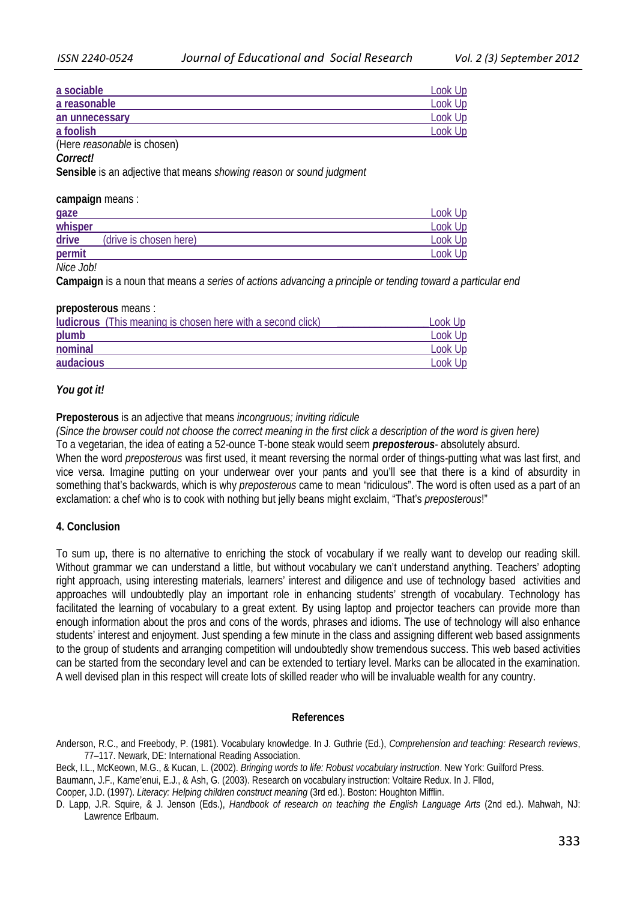| a sociable                  | Look Up |
|-----------------------------|---------|
| a reasonable                | Look Up |
| an unnecessary              | Look Up |
| a foolish                   | Look Up |
| (Llora regganghlaig shogan) |         |

(Here *reasonable* is chosen)

*Correct!* 

**Sensible** is an adjective that means *showing reason or sound judgment*

#### **campaign** means :

| gaze    |                        | Look Up |
|---------|------------------------|---------|
| whisper |                        | Look Up |
| drive   | (drive is chosen here) | Look Up |
| permit  |                        | Look Up |
|         |                        |         |

*Nice Job!* 

**Campaign** is a noun that means *a series of actions advancing a principle or tending toward a particular end*

#### **preposterous** means :

| <b>ludicrous</b> (This meaning is chosen here with a second click) | Look Up |
|--------------------------------------------------------------------|---------|
| plumb                                                              | Look Up |
| nominal                                                            | Look Up |
| audacious                                                          | Look Up |

# *You got it!*

#### **Preposterous** is an adjective that means *incongruous; inviting ridicule*

*(Since the browser could not choose the correct meaning in the first click a description of the word is given here)* To a vegetarian, the idea of eating a 52-ounce T-bone steak would seem *preposterous*- absolutely absurd. When the word *preposterous* was first used, it meant reversing the normal order of things-putting what was last first, and vice versa. Imagine putting on your underwear over your pants and you'll see that there is a kind of absurdity in something that's backwards, which is why *preposterous* came to mean "ridiculous". The word is often used as a part of an exclamation: a chef who is to cook with nothing but jelly beans might exclaim, "That's *preposterous*!"

# **4. Conclusion**

To sum up, there is no alternative to enriching the stock of vocabulary if we really want to develop our reading skill. Without grammar we can understand a little, but without vocabulary we can't understand anything. Teachers' adopting right approach, using interesting materials, learners' interest and diligence and use of technology based activities and approaches will undoubtedly play an important role in enhancing students' strength of vocabulary. Technology has facilitated the learning of vocabulary to a great extent. By using laptop and projector teachers can provide more than enough information about the pros and cons of the words, phrases and idioms. The use of technology will also enhance students' interest and enjoyment. Just spending a few minute in the class and assigning different web based assignments to the group of students and arranging competition will undoubtedly show tremendous success. This web based activities can be started from the secondary level and can be extended to tertiary level. Marks can be allocated in the examination. A well devised plan in this respect will create lots of skilled reader who will be invaluable wealth for any country.

#### **References**

Anderson, R.C., and Freebody, P. (1981). Vocabulary knowledge. In J. Guthrie (Ed.), *Comprehension and teaching: Research reviews*, 77–117. Newark, DE: International Reading Association.

- Beck, I.L., McKeown, M.G., & Kucan, L. (2002). *Bringing words to life: Robust vocabulary instruction*. New York: Guilford Press.
- Baumann, J.F., Kame'enui, E.J., & Ash, G. (2003). Research on vocabulary instruction: Voltaire Redux. In J. Fllod,
- Cooper, J.D. (1997). *Literacy: Helping children construct meaning* (3rd ed.). Boston: Houghton Mifflin.
- D. Lapp, J.R. Squire, & J. Jenson (Eds.), *Handbook of research on teaching the English Language Arts* (2nd ed.). Mahwah, NJ: Lawrence Erlbaum.